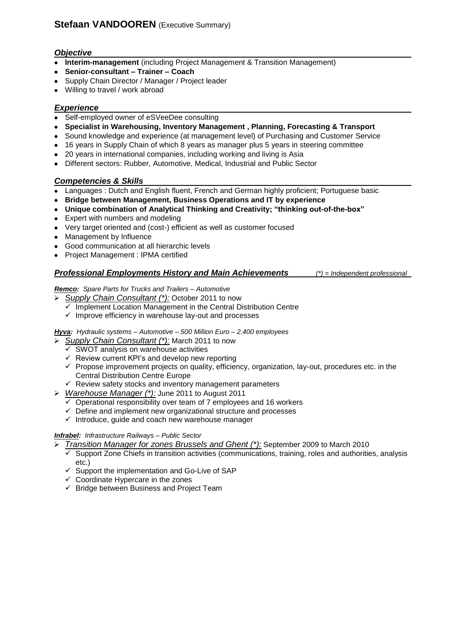# *Objective*

- **Interim-management** (including Project Management & Transition Management)
- **Senior-consultant – Trainer – Coach**
- Supply Chain Director / Manager / Project leader
- Willing to travel / work abroad

## *Experience*

- Self-employed owner of eSVeeDee consulting
- **Specialist in Warehousing, Inventory Management , Planning, Forecasting & Transport**
- Sound knowledge and experience (at management level) of Purchasing and Customer Service
- 16 years in Supply Chain of which 8 years as manager plus 5 years in steering committee
- 20 years in international companies, including working and living is Asia
- Different sectors: Rubber, Automotive, Medical, Industrial and Public Sector

## *Competencies & Skills*

- Languages : Dutch and English fluent, French and German highly proficient; Portuguese basic
- **Bridge between Management, Business Operations and IT by experience**
- **Unique combination of Analytical Thinking and Creativity; "thinking out-of-the-box"**
- Expert with numbers and modeling
- Very target oriented and (cost-) efficient as well as customer focused
- Management by Influence
- Good communication at all hierarchic levels
- Project Management : IPMA certified

## *Professional Employments History and Main Achievements (\*) = Independent professional*

*Remco: Spare Parts for Trucks and Trailers – Automotive* 

- *Supply Chain Consultant (\*):* October 2011 to now
	- $\checkmark$  Implement Location Management in the Central Distribution Centre
	- $\checkmark$  Improve efficiency in warehouse lay-out and processes

*Hyva: Hydraulic systems – Automotive – 500 Million Euro – 2.400 employees*

- *Supply Chain Consultant (\*):* March 2011 to now
	- $\checkmark$  SWOT analysis on warehouse activities
	- $\checkmark$  Review current KPI's and develop new reporting
	- $\checkmark$  Propose improvement projects on quality, efficiency, organization, lay-out, procedures etc. in the Central Distribution Centre Europe
	- $\checkmark$  Review safety stocks and inventory management parameters
- *Warehouse Manager (\*):* June 2011 to August 2011
	- Operational responsibility over team of 7 employees and 16 workers
	- $\checkmark$  Define and implement new organizational structure and processes
	- $\checkmark$  Introduce, guide and coach new warehouse manager

### *Infrabel: Infrastructure Railways – Public Sector*

*Transition Manager for zones Brussels and Ghent (\*):* September 2009 to March 2010

- Support Zone Chiefs in transition activities (communications, training, roles and authorities, analysis etc.)
- $\checkmark$  Support the implementation and Go-Live of SAP
- $\checkmark$  Coordinate Hypercare in the zones
- $\checkmark$  Bridge between Business and Project Team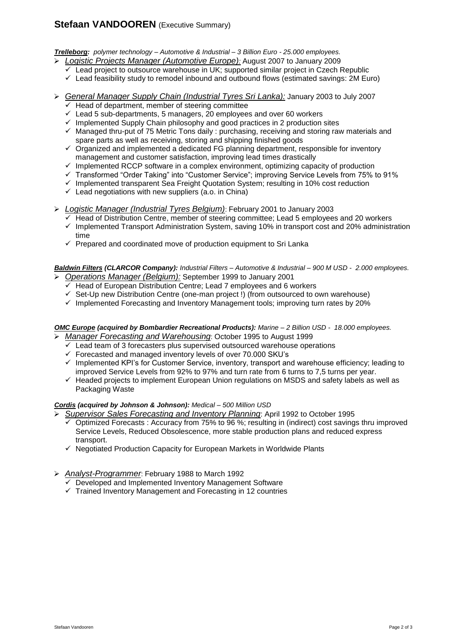# **Stefaan VANDOOREN** (Executive Summary)

*Trelleborg: polymer technology – Automotive & Industrial – 3 Billion Euro - 25.000 employees.*

- *Logistic Projects Manager (Automotive Europe):* August 2007 to January 2009
	- $\checkmark$  Lead project to outsource warehouse in UK; supported similar project in Czech Republic
	- $\checkmark$  Lead feasibility study to remodel inbound and outbound flows (estimated savings: 2M Euro)
- *General Manager Supply Chain (Industrial Tyres Sri Lanka):* January 2003 to July 2007
	- $\overline{\smash[b]{\mathsf{K}}}$  Head of department, member of steering committee
	- $\checkmark$  Lead 5 sub-departments, 5 managers, 20 employees and over 60 workers
	- $\checkmark$  Implemented Supply Chain philosophy and good practices in 2 production sites
	- $\checkmark$  Managed thru-put of 75 Metric Tons daily : purchasing, receiving and storing raw materials and spare parts as well as receiving, storing and shipping finished goods
	- $\checkmark$  Organized and implemented a dedicated FG planning department, responsible for inventory management and customer satisfaction, improving lead times drastically
	- $\checkmark$  Implemented RCCP software in a complex environment, optimizing capacity of production
	- Transformed "Order Taking" into "Customer Service"; improving Service Levels from 75% to 91%
	- $\checkmark$  Implemented transparent Sea Freight Quotation System; resulting in 10% cost reduction
	- $\checkmark$  Lead negotiations with new suppliers (a.o. in China)

#### *Logistic Manager (Industrial Tyres Belgium)*: February 2001 to January 2003

- $\checkmark$  Head of Distribution Centre, member of steering committee; Lead 5 employees and 20 workers  $\checkmark$  Implemented Transport Administration System, saving 10% in transport cost and 20% administration time
- $\checkmark$  Prepared and coordinated move of production equipment to Sri Lanka

#### *Baldwin Filters (CLARCOR Company): Industrial Filters – Automotive & Industrial – 900 M USD - 2.000 employees. Operations Manager (Belgium):* September 1999 to January 2001

- $\overline{V}$  Head of European Distribution Centre: Lead 7 employees and 6 workers
- $\checkmark$  Set-Up new Distribution Centre (one-man project!) (from outsourced to own warehouse)
- $\checkmark$  Implemented Forecasting and Inventory Management tools; improving turn rates by 20%

#### *OMC Europe (acquired by Bombardier Recreational Products): Marine – 2 Billion USD - 18.000 employees. Manager Forecasting and Warehousing*: October 1995 to August 1999

- $\checkmark$  Lead team of 3 forecasters plus supervised outsourced warehouse operations
- $\checkmark$  Forecasted and managed inventory levels of over 70.000 SKU's
- $\checkmark$  Implemented KPI's for Customer Service, inventory, transport and warehouse efficiency; leading to improved Service Levels from 92% to 97% and turn rate from 6 turns to 7,5 turns per year.
- $\checkmark$  Headed projects to implement European Union regulations on MSDS and safety labels as well as Packaging Waste

### *Cordis (acquired by Johnson & Johnson): Medical – 500 Million USD*

- *Supervisor Sales Forecasting and Inventory Planning*: April 1992 to October 1995
	- Optimized Forecasts : Accuracy from 75% to 96 %; resulting in (indirect) cost savings thru improved Service Levels, Reduced Obsolescence, more stable production plans and reduced express transport.
	- $\checkmark$  Negotiated Production Capacity for European Markets in Worldwide Plants
- *Analyst-Programmer*: February 1988 to March 1992
	- Developed and Implemented Inventory Management Software
	- $\checkmark$  Trained Inventory Management and Forecasting in 12 countries